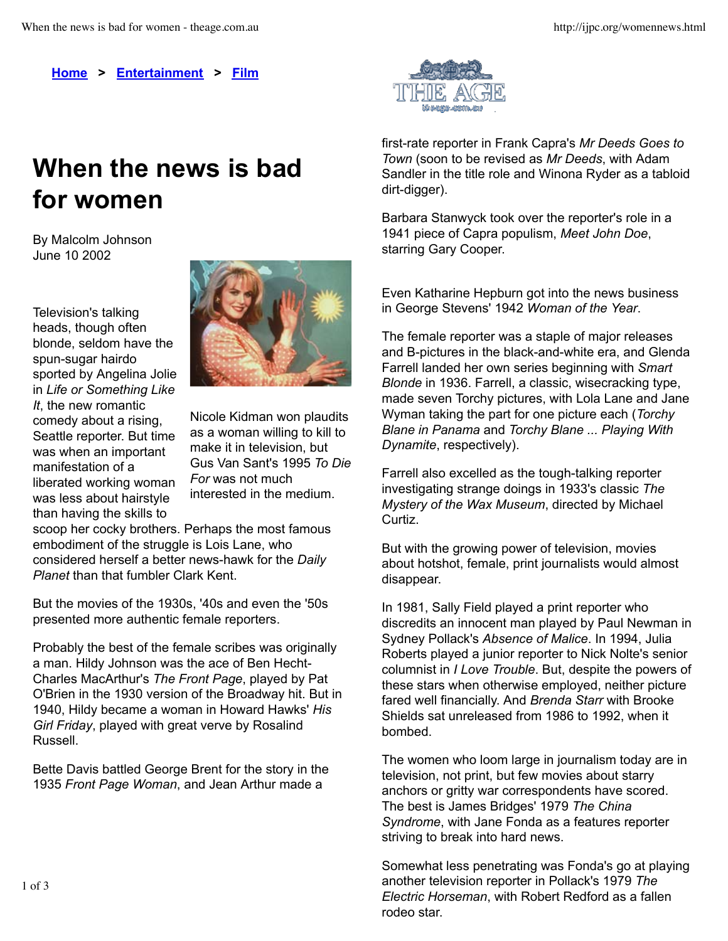**Home > Entertainment > Film**

## **When the news is bad for women**

By Malcolm Johnson June 10 2002

Television's talking heads, though often blonde, seldom have the spun-sugar hairdo sported by Angelina Jolie in *Life or Something Like It*, the new romantic comedy about a rising, Seattle reporter. But time was when an important manifestation of a liberated working woman was less about hairstyle than having the skills to



Nicole Kidman won plaudits as a woman willing to kill to make it in television, but Gus Van Sant's 1995 *To Die For* was not much interested in the medium.

scoop her cocky brothers. Perhaps the most famous embodiment of the struggle is Lois Lane, who considered herself a better news-hawk for the *Daily Planet* than that fumbler Clark Kent.

But the movies of the 1930s, '40s and even the '50s presented more authentic female reporters.

Probably the best of the female scribes was originally a man. Hildy Johnson was the ace of Ben Hecht-Charles MacArthur's *The Front Page*, played by Pat O'Brien in the 1930 version of the Broadway hit. But in 1940, Hildy became a woman in Howard Hawks' *His Girl Friday*, played with great verve by Rosalind Russell.

Bette Davis battled George Brent for the story in the 1935 *Front Page Woman*, and Jean Arthur made a



first-rate reporter in Frank Capra's *Mr Deeds Goes to Town* (soon to be revised as *Mr Deeds*, with Adam Sandler in the title role and Winona Ryder as a tabloid dirt-digger).

Barbara Stanwyck took over the reporter's role in a 1941 piece of Capra populism, *Meet John Doe*, starring Gary Cooper.

Even Katharine Hepburn got into the news business in George Stevens' 1942 *Woman of the Year*.

The female reporter was a staple of major releases and B-pictures in the black-and-white era, and Glenda Farrell landed her own series beginning with *Smart Blonde* in 1936. Farrell, a classic, wisecracking type, made seven Torchy pictures, with Lola Lane and Jane Wyman taking the part for one picture each (*Torchy Blane in Panama* and *Torchy Blane ... Playing With Dynamite*, respectively).

Farrell also excelled as the tough-talking reporter investigating strange doings in 1933's classic *The Mystery of the Wax Museum*, directed by Michael Curtiz.

But with the growing power of television, movies about hotshot, female, print journalists would almost disappear.

In 1981, Sally Field played a print reporter who discredits an innocent man played by Paul Newman in Sydney Pollack's *Absence of Malice*. In 1994, Julia Roberts played a junior reporter to Nick Nolte's senior columnist in *I Love Trouble*. But, despite the powers of these stars when otherwise employed, neither picture fared well financially. And *Brenda Starr* with Brooke Shields sat unreleased from 1986 to 1992, when it bombed.

The women who loom large in journalism today are in television, not print, but few movies about starry anchors or gritty war correspondents have scored. The best is James Bridges' 1979 *The China Syndrome*, with Jane Fonda as a features reporter striving to break into hard news.

Somewhat less penetrating was Fonda's go at playing another television reporter in Pollack's 1979 *The Electric Horseman*, with Robert Redford as a fallen rodeo star.